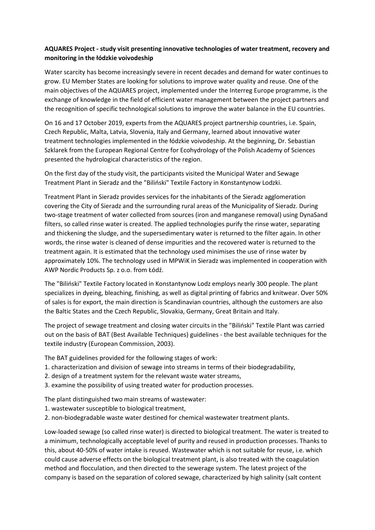## **AQUARES Project - study visit presenting innovative technologies of water treatment, recovery and monitoring in the łódzkie voivodeship**

Water scarcity has become increasingly severe in recent decades and demand for water continues to grow. EU Member States are looking for solutions to improve water quality and reuse. One of the main objectives of the AQUARES project, implemented under the Interreg Europe programme, is the exchange of knowledge in the field of efficient water management between the project partners and the recognition of specific technological solutions to improve the water balance in the EU countries.

On 16 and 17 October 2019, experts from the AQUARES project partnership countries, i.e. Spain, Czech Republic, Malta, Latvia, Slovenia, Italy and Germany, learned about innovative water treatment technologies implemented in the łódzkie voivodeship. At the beginning, Dr. Sebastian Szklarek from the European Regional Centre for Ecohydrology of the Polish Academy of Sciences presented the hydrological characteristics of the region.

On the first day of the study visit, the participants visited the Municipal Water and Sewage Treatment Plant in Sieradz and the "Biliński" Textile Factory in Konstantynow Lodzki.

Treatment Plant in Sieradz provides services for the inhabitants of the Sieradz agglomeration covering the City of Sieradz and the surrounding rural areas of the Municipality of Sieradz. During two-stage treatment of water collected from sources (iron and manganese removal) using DynaSand filters, so called rinse water is created. The applied technologies purify the rinse water, separating and thickening the sludge, and the supersedimentary water is returned to the filter again. In other words, the rinse water is cleaned of dense impurities and the recovered water is returned to the treatment again. It is estimated that the technology used minimises the use of rinse water by approximately 10%. The technology used in MPWiK in Sieradz was implemented in cooperation with AWP Nordic Products Sp. z o.o. from Łódź.

The "Biliński" Textile Factory located in Konstantynow Lodz employs nearly 300 people. The plant specializes in dyeing, bleaching, finishing, as well as digital printing of fabrics and knitwear. Over 50% of sales is for export, the main direction is Scandinavian countries, although the customers are also the Baltic States and the Czech Republic, Slovakia, Germany, Great Britain and Italy.

The project of sewage treatment and closing water circuits in the "Biliński" Textile Plant was carried out on the basis of BAT (Best Available Techniques) guidelines - the best available techniques for the textile industry (European Commission, 2003).

The BAT guidelines provided for the following stages of work:

- 1. characterization and division of sewage into streams in terms of their biodegradability,
- 2. design of a treatment system for the relevant waste water streams,
- 3. examine the possibility of using treated water for production processes.

The plant distinguished two main streams of wastewater:

- 1. wastewater susceptible to biological treatment,
- 2. non-biodegradable waste water destined for chemical wastewater treatment plants.

Low-loaded sewage (so called rinse water) is directed to biological treatment. The water is treated to a minimum, technologically acceptable level of purity and reused in production processes. Thanks to this, about 40-50% of water intake is reused. Wastewater which is not suitable for reuse, i.e. which could cause adverse effects on the biological treatment plant, is also treated with the coagulation method and flocculation, and then directed to the sewerage system. The latest project of the company is based on the separation of colored sewage, characterized by high salinity (salt content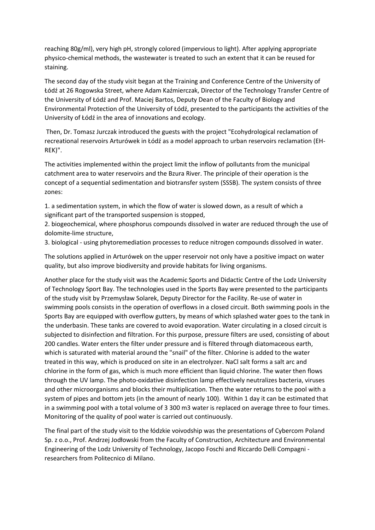reaching 80g/ml), very high pH, strongly colored (impervious to light). After applying appropriate physico-chemical methods, the wastewater is treated to such an extent that it can be reused for staining.

The second day of the study visit began at the Training and Conference Centre of the University of Łódź at 26 Rogowska Street, where Adam Kaźmierczak, Director of the Technology Transfer Centre of the University of Łódź and Prof. Maciej Bartos, Deputy Dean of the Faculty of Biology and Environmental Protection of the University of Łódź, presented to the participants the activities of the University of Łódź in the area of innovations and ecology.

Then, Dr. Tomasz Jurczak introduced the guests with the project "Ecohydrological reclamation of recreational reservoirs Arturówek in Łódź as a model approach to urban reservoirs reclamation (EH-REK)".

The activities implemented within the project limit the inflow of pollutants from the municipal catchment area to water reservoirs and the Bzura River. The principle of their operation is the concept of a sequential sedimentation and biotransfer system (SSSB). The system consists of three zones:

1. a sedimentation system, in which the flow of water is slowed down, as a result of which a significant part of the transported suspension is stopped,

2. biogeochemical, where phosphorus compounds dissolved in water are reduced through the use of dolomite-lime structure,

3. biological - using phytoremediation processes to reduce nitrogen compounds dissolved in water.

The solutions applied in Arturówek on the upper reservoir not only have a positive impact on water quality, but also improve biodiversity and provide habitats for living organisms.

Another place for the study visit was the Academic Sports and Didactic Centre of the Lodz University of Technology Sport Bay. The technologies used in the Sports Bay were presented to the participants of the study visit by Przemysław Solarek, Deputy Director for the Facility. Re-use of water in swimming pools consists in the operation of overflows in a closed circuit. Both swimming pools in the Sports Bay are equipped with overflow gutters, by means of which splashed water goes to the tank in the underbasin. These tanks are covered to avoid evaporation. Water circulating in a closed circuit is subjected to disinfection and filtration. For this purpose, pressure filters are used, consisting of about 200 candles. Water enters the filter under pressure and is filtered through diatomaceous earth, which is saturated with material around the "snail" of the filter. Chlorine is added to the water treated in this way, which is produced on site in an electrolyzer. NaCl salt forms a salt arc and chlorine in the form of gas, which is much more efficient than liquid chlorine. The water then flows through the UV lamp. The photo-oxidative disinfection lamp effectively neutralizes bacteria, viruses and other microorganisms and blocks their multiplication. Then the water returns to the pool with a system of pipes and bottom jets (in the amount of nearly 100). Within 1 day it can be estimated that in a swimming pool with a total volume of 3 300 m3 water is replaced on average three to four times. Monitoring of the quality of pool water is carried out continuously.

The final part of the study visit to the łódzkie voivodship was the presentations of Cybercom Poland Sp. z o.o., Prof. Andrzej Jodłowski from the Faculty of Construction, Architecture and Environmental Engineering of the Lodz University of Technology, Jacopo Foschi and Riccardo Delli Compagni researchers from Politecnico di Milano.